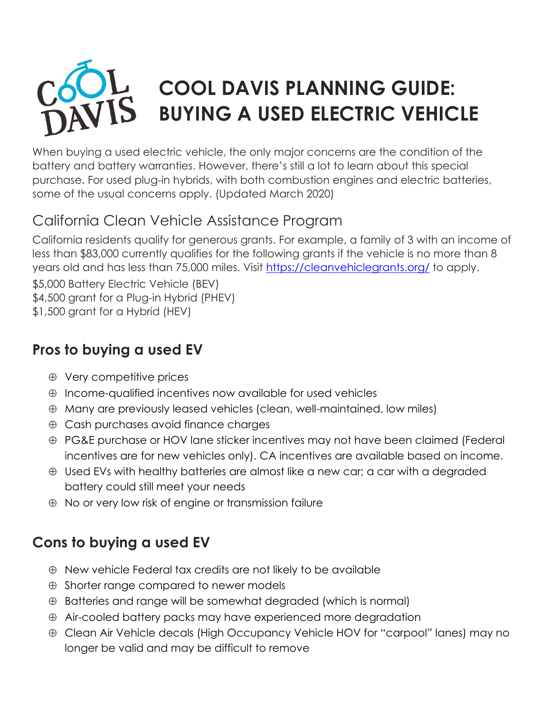# **COOL DAVIS PLANNING GUIDE: BUYING A USED ELECTRIC VEHICLE**

When buying a used electric vehicle, the only major concerns are the condition of the battery and battery warranties. However, there's still a lot to learn about this special purchase. For used plug-in hybrids, with both combustion engines and electric batteries, some of the usual concerns apply. (Updated March 2020)

#### California Clean Vehicle Assistance Program

California residents qualify for generous grants. For example, a family of 3 with an income of less than \$83,000 currently qualifies for the following grants if the vehicle is no more than 8 years old and has less than 75,000 miles. Visit [https://cleanvehiclegrants.org/](about:blank) to apply.

\$5,000 Battery Electric Vehicle (BEV)

\$4,500 grant for a Plug-in Hybrid (PHEV)

\$1,500 grant for a Hybrid (HEV)

#### **Pros to buying a used EV**

- $\oplus$  Very competitive prices
- $\oplus$  Income-qualified incentives now available for used vehicles
- Many are previously leased vehicles (clean, well-maintained, low miles)
- $\oplus$  Cash purchases avoid finance charges
- PG&E purchase or HOV lane sticker incentives may not have been claimed (Federal incentives are for new vehicles only). CA incentives are available based on income.
- Used EVs with healthy batteries are almost like a new car; a car with a degraded battery could still meet your needs
- No or very low risk of engine or transmission failure

## **Cons to buying a used EV**

- $\oplus$  New vehicle Federal tax credits are not likely to be available
- $\oplus$  Shorter range compared to newer models
- $\oplus$  Batteries and range will be somewhat degraded (which is normal)
- $\oplus$  Air-cooled battery packs may have experienced more degradation
- Clean Air Vehicle decals (High Occupancy Vehicle HOV for "carpool" lanes) may no longer be valid and may be difficult to remove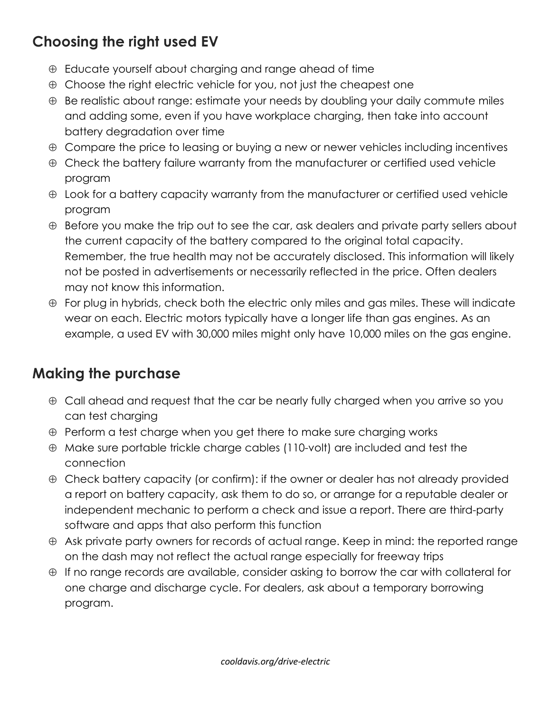### **Choosing the right used EV**

- $\oplus$  Educate yourself about charging and range ahead of time
- $\oplus$  Choose the right electric vehicle for you, not just the cheapest one
- $\oplus$  Be realistic about range: estimate your needs by doubling your daily commute miles and adding some, even if you have workplace charging, then take into account battery degradation over time
- $\oplus$  Compare the price to leasing or buying a new or newer vehicles including incentives
- $\oplus$  Check the battery failure warranty from the manufacturer or certified used vehicle program
- $\oplus$  Look for a battery capacity warranty from the manufacturer or certified used vehicle program
- $\oplus$  Before you make the trip out to see the car, ask dealers and private party sellers about the current capacity of the battery compared to the original total capacity. Remember, the true health may not be accurately disclosed. This information will likely not be posted in advertisements or necessarily reflected in the price. Often dealers may not know this information.
- $\oplus$  For plug in hybrids, check both the electric only miles and gas miles. These will indicate wear on each. Electric motors typically have a longer life than gas engines. As an example, a used EV with 30,000 miles might only have 10,000 miles on the gas engine.

#### **Making the purchase**

- Call ahead and request that the car be nearly fully charged when you arrive so you can test charging
- $\oplus$  Perform a test charge when you get there to make sure charging works
- Make sure portable trickle charge cables (110-volt) are included and test the connection
- Check battery capacity (or confirm): if the owner or dealer has not already provided a report on battery capacity, ask them to do so, or arrange for a reputable dealer or independent mechanic to perform a check and issue a report. There are third-party software and apps that also perform this function
- $\oplus$  Ask private party owners for records of actual range. Keep in mind: the reported range on the dash may not reflect the actual range especially for freeway trips
- $\oplus$  If no range records are available, consider asking to borrow the car with collateral for one charge and discharge cycle. For dealers, ask about a temporary borrowing program.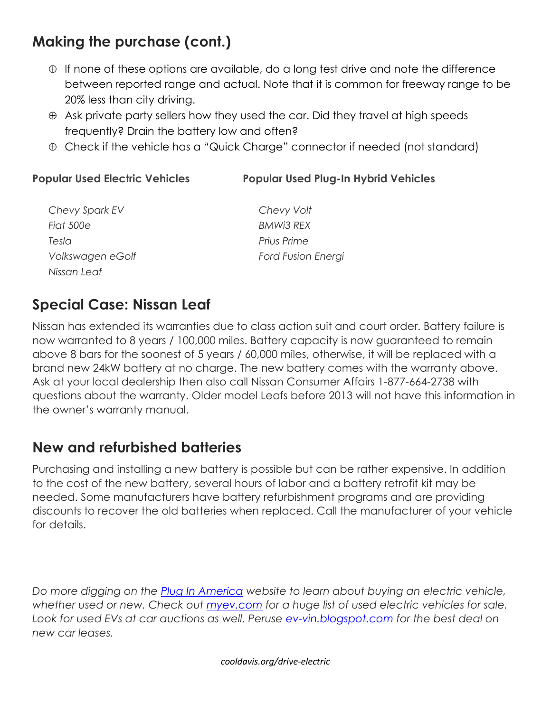#### **Making the purchase (cont.)**

- $\oplus$  If none of these options are available, do a long test drive and note the difference between reported range and actual. Note that it is common for freeway range to be 20% less than city driving.
- $\oplus$  Ask private party sellers how they used the car. Did they travel at high speeds frequently? Drain the battery low and often?
- Check if the vehicle has a "Quick Charge" connector if needed (not standard)

#### **Popular Used Electric Vehicles Popular Used Plug-In Hybrid Vehicles**

| Chevy Spark EV   |
|------------------|
| <b>Fiat 500e</b> |
| Tesla            |
| Volkswagen eGolf |
| Nissan Leaf      |

*Chevy Volt BMWi3 REX Prius Prime Ford Fusion Energi*

#### **Special Case: Nissan Leaf**

Nissan has extended its warranties due to class action suit and court order. Battery failure is now warranted to 8 years / 100,000 miles. Battery capacity is now guaranteed to remain above 8 bars for the soonest of 5 years / 60,000 miles, otherwise, it will be replaced with a brand new 24kW battery at no charge. The new battery comes with the warranty above. Ask at your local dealership then also call Nissan Consumer Affairs 1-877-664-2738 with questions about the warranty. Older model Leafs before 2013 will not have this information in the owner's warranty manual.

#### **New and refurbished batteries**

Purchasing and installing a new battery is possible but can be rather expensive. In addition to the cost of the new battery, several hours of labor and a battery retrofit kit may be needed. Some manufacturers have battery refurbishment programs and are providing discounts to recover the old batteries when replaced. Call the manufacturer of your vehicle for details.

*Do more digging on the [Plug In America](https://pluginamerica.org/) website to learn about buying an electric vehicle, whether used or new. Check out<myev.com> for a huge list of used electric vehicles for sale. Look for used EVs at car auctions as well. Peruse<ev-vin.blogspot.com> for the best deal on new car leases.* 

*cooldavis.org/drive-electric*